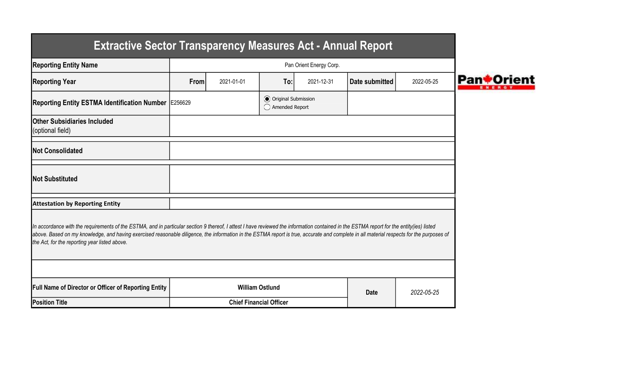| <b>Extractive Sector Transparency Measures Act - Annual Report</b>                                                                                                                                                                                                                                                                                                                                                                    |                         |                                |                                                  |            |                |            |  |  |  |
|---------------------------------------------------------------------------------------------------------------------------------------------------------------------------------------------------------------------------------------------------------------------------------------------------------------------------------------------------------------------------------------------------------------------------------------|-------------------------|--------------------------------|--------------------------------------------------|------------|----------------|------------|--|--|--|
| <b>Reporting Entity Name</b>                                                                                                                                                                                                                                                                                                                                                                                                          | Pan Orient Energy Corp. |                                |                                                  |            |                |            |  |  |  |
| <b>Reporting Year</b>                                                                                                                                                                                                                                                                                                                                                                                                                 | From                    | 2021-01-01                     | To:                                              | 2021-12-31 | Date submitted | 2022-05-25 |  |  |  |
| Reporting Entity ESTMA Identification Number   E256629                                                                                                                                                                                                                                                                                                                                                                                |                         |                                | <b>◎</b> Original Submission<br>◯ Amended Report |            |                |            |  |  |  |
| <b>IOther Subsidiaries Included</b><br>(optional field)                                                                                                                                                                                                                                                                                                                                                                               |                         |                                |                                                  |            |                |            |  |  |  |
| <b>INot Consolidated</b>                                                                                                                                                                                                                                                                                                                                                                                                              |                         |                                |                                                  |            |                |            |  |  |  |
| <b>Not Substituted</b>                                                                                                                                                                                                                                                                                                                                                                                                                |                         |                                |                                                  |            |                |            |  |  |  |
| <b>Attestation by Reporting Entity</b>                                                                                                                                                                                                                                                                                                                                                                                                |                         |                                |                                                  |            |                |            |  |  |  |
| In accordance with the requirements of the ESTMA, and in particular section 9 thereof, I attest I have reviewed the information contained in the ESTMA report for the entity(ies) listed<br>above. Based on my knowledge, and having exercised reasonable diligence, the information in the ESTMA report is true, accurate and complete in all material respects for the purposes of<br>the Act, for the reporting year listed above. |                         |                                |                                                  |            |                |            |  |  |  |
|                                                                                                                                                                                                                                                                                                                                                                                                                                       |                         |                                |                                                  |            |                |            |  |  |  |
| <b>Full Name of Director or Officer of Reporting Entity</b>                                                                                                                                                                                                                                                                                                                                                                           |                         |                                | <b>William Ostlund</b>                           |            | <b>Date</b>    | 2022-05-25 |  |  |  |
| <b>Position Title</b>                                                                                                                                                                                                                                                                                                                                                                                                                 |                         | <b>Chief Financial Officer</b> |                                                  |            |                |            |  |  |  |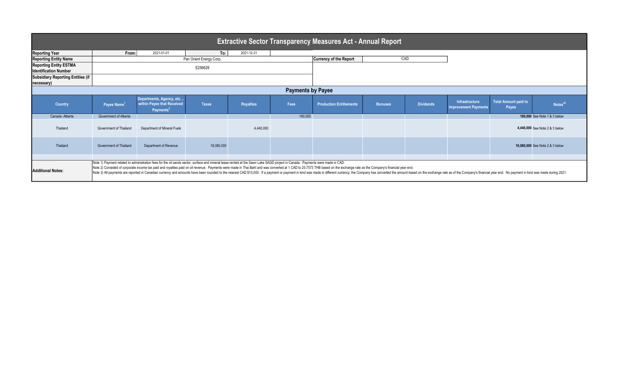| <b>Extractive Sector Transparency Measures Act - Annual Report</b> |                               |                                                                                                                                                                                                                                                                                                                                                                                                                                                                                                                                                                                                                                                  |              |                  |             |                                |                |                  |                                              |                               |                                 |
|--------------------------------------------------------------------|-------------------------------|--------------------------------------------------------------------------------------------------------------------------------------------------------------------------------------------------------------------------------------------------------------------------------------------------------------------------------------------------------------------------------------------------------------------------------------------------------------------------------------------------------------------------------------------------------------------------------------------------------------------------------------------------|--------------|------------------|-------------|--------------------------------|----------------|------------------|----------------------------------------------|-------------------------------|---------------------------------|
| <b>Reporting Year</b>                                              | From:                         | 2021-01-01                                                                                                                                                                                                                                                                                                                                                                                                                                                                                                                                                                                                                                       | To:          | 2021-12-31       |             |                                |                |                  |                                              |                               |                                 |
| <b>Reporting Entity Name</b>                                       |                               | Pan Orient Energy Corp.                                                                                                                                                                                                                                                                                                                                                                                                                                                                                                                                                                                                                          |              |                  |             | <b>Currency of the Report</b>  |                | CAD              |                                              |                               |                                 |
| <b>Reporting Entity ESTMA</b><br><b>Identification Number</b>      | E256629                       |                                                                                                                                                                                                                                                                                                                                                                                                                                                                                                                                                                                                                                                  |              |                  |             |                                |                |                  |                                              |                               |                                 |
| <b>Subsidiary Reporting Entities (if</b><br>necessary)             |                               |                                                                                                                                                                                                                                                                                                                                                                                                                                                                                                                                                                                                                                                  |              |                  |             |                                |                |                  |                                              |                               |                                 |
| <b>Payments by Payee</b>                                           |                               |                                                                                                                                                                                                                                                                                                                                                                                                                                                                                                                                                                                                                                                  |              |                  |             |                                |                |                  |                                              |                               |                                 |
| Country                                                            | Payee Name <sup>1</sup>       | Departments, Agency, etc<br>within Payee that Received<br>Payments <sup>2</sup>                                                                                                                                                                                                                                                                                                                                                                                                                                                                                                                                                                  | <b>Taxes</b> | <b>Royalties</b> | <b>Fees</b> | <b>Production Entitlements</b> | <b>Bonuses</b> | <b>Dividends</b> | <b>Infrastructure</b><br>mprovement Payments | Total Amount paid to<br>Payee | Notes <sup>34</sup>             |
| Canada - Alberta                                                   | Government of Alberta         |                                                                                                                                                                                                                                                                                                                                                                                                                                                                                                                                                                                                                                                  |              |                  | 160,000     |                                |                |                  |                                              |                               | 160,000 See Note 1 & 3 below    |
| Thailand                                                           | <b>Government of Thailand</b> | Department of Mineral Fuels                                                                                                                                                                                                                                                                                                                                                                                                                                                                                                                                                                                                                      |              | 4,440,000        |             |                                |                |                  |                                              |                               | 4,440,000 See Note 2 & 3 below  |
| Thailand                                                           | <b>Government of Thailand</b> | Department of Revenue                                                                                                                                                                                                                                                                                                                                                                                                                                                                                                                                                                                                                            | 18,080,000   |                  |             |                                |                |                  |                                              |                               | 18,080,000 See Note 2 & 3 below |
| <b>Additional Notes:</b>                                           |                               | Note 1) Payment related to administration fees for the oil sands sector, surface and mineral lease rentals at the Sawn Lake SAGD project in Canada. Payments were made in CAD.<br>Note 2) Consisted of corporate income tax paid and royalties paid on oil revenue. Payments were made in Thai Baht and was converted at 1 CAD to 25.7573 THB based on the exchange rate as the Company's financial year end.<br>Note 3) All payments are reported in Canadian currency and amounts have been rounded to the nearest CAD \$10,000. If a payment or payment in kind was made in different currency, the Company has converted the amount based on |              |                  |             |                                |                |                  |                                              |                               |                                 |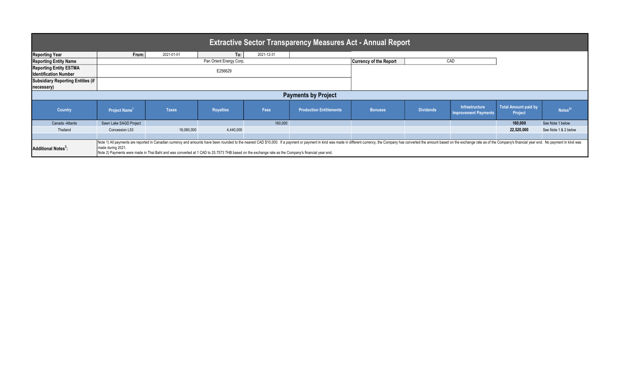| <b>Extractive Sector Transparency Measures Act - Annual Report</b> |                            |                                                                                                                                                   |                  |            |                                                                                                                                                                                                                                 |                               |                  |                                               |                                 |                      |  |  |
|--------------------------------------------------------------------|----------------------------|---------------------------------------------------------------------------------------------------------------------------------------------------|------------------|------------|---------------------------------------------------------------------------------------------------------------------------------------------------------------------------------------------------------------------------------|-------------------------------|------------------|-----------------------------------------------|---------------------------------|----------------------|--|--|
| <b>Reporting Year</b>                                              | From:                      | 2021-01-01                                                                                                                                        | To:              | 2021-12-31 |                                                                                                                                                                                                                                 |                               |                  |                                               |                                 |                      |  |  |
| <b>Reporting Entity Name</b>                                       | Pan Orient Energy Corp.    |                                                                                                                                                   |                  |            |                                                                                                                                                                                                                                 | <b>Currency of the Report</b> | CAD              |                                               |                                 |                      |  |  |
| <b>Reporting Entity ESTMA</b><br><b>Identification Number</b>      |                            |                                                                                                                                                   | E256629          |            |                                                                                                                                                                                                                                 |                               |                  |                                               |                                 |                      |  |  |
| Subsidiary Reporting Entities (if<br>necessary)                    |                            |                                                                                                                                                   |                  |            |                                                                                                                                                                                                                                 |                               |                  |                                               |                                 |                      |  |  |
|                                                                    | <b>Payments by Project</b> |                                                                                                                                                   |                  |            |                                                                                                                                                                                                                                 |                               |                  |                                               |                                 |                      |  |  |
| <b>Country</b>                                                     | Project Name <sup>1</sup>  | <b>Taxes</b>                                                                                                                                      | <b>Royalties</b> | Fees       | <b>Production Entitlements</b>                                                                                                                                                                                                  | <b>Bonuses</b>                | <b>Dividends</b> | Infrastructure<br><b>Improvement Payments</b> | Total Amount paid by<br>Project | Notes <sup>23</sup>  |  |  |
| Canada - Alberta                                                   | Sawn Lake SAGD Project     |                                                                                                                                                   |                  | 160,000    |                                                                                                                                                                                                                                 |                               |                  |                                               | 160,000                         | See Note 1 below     |  |  |
| Thailand                                                           | Concession L53             | 18,080,000                                                                                                                                        | 4,440,000        |            |                                                                                                                                                                                                                                 |                               |                  |                                               | 22,520,000                      | See Note 1 & 2 below |  |  |
|                                                                    |                            |                                                                                                                                                   |                  |            |                                                                                                                                                                                                                                 |                               |                  |                                               |                                 |                      |  |  |
| Additional Notes <sup>3</sup> :                                    | made during 2021.          | Note 2) Payments were made in Thai Baht and was converted at 1 CAD to 25.7573 THB based on the exchange rate as the Company's financial year end. |                  |            | Note 1) All payments are reported in Canadian currency and amounts have been rounded to the nearest CAD \$10,000. If a payment or payment in kind was made in different currency, the Company has converted the amount based on |                               |                  |                                               |                                 |                      |  |  |